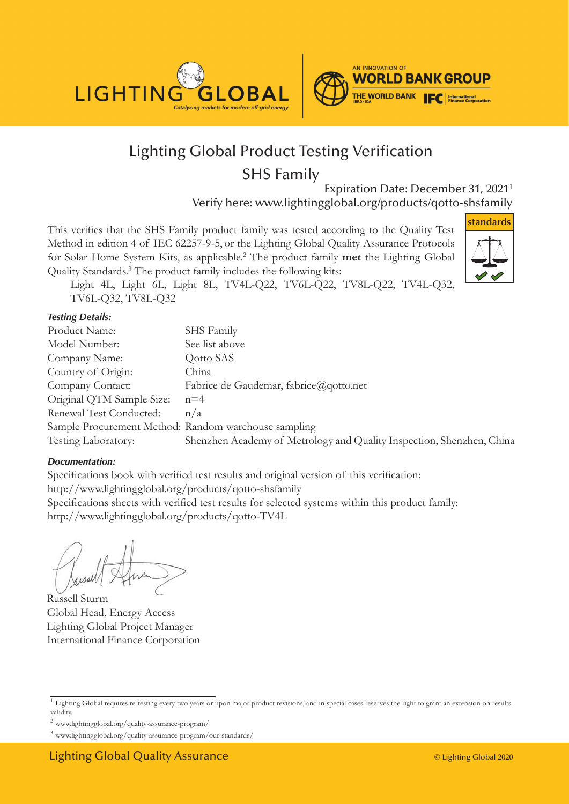



## Lighting Global Product Testing Verification SHS Family

Expiration Date: December 31, 2021<sup>1</sup> Verify here: www.lightingglobal.org/products/qotto-shsfamily

This verifies that the SHS Family product family was tested according to the Quality Test Method in edition 4 of IEC 62257-9-5, or the Lighting Global Quality Assurance Protocols for Solar Home System Kits, as applicable.<sup>2</sup> The product family **met** the Lighting Global Quality Standards.<sup>3</sup> The product family includes the following kits:



Light 4L, Light 6L, Light 8L, TV4L-Q22, TV6L-Q22, TV8L-Q22, TV4L-Q32, TV6L-Q32, TV8L-Q32

#### *Testing Details:*

| Product Name:                                        | SHS Family                                                            |
|------------------------------------------------------|-----------------------------------------------------------------------|
| Model Number:                                        | See list above                                                        |
| Company Name:                                        | Qotto SAS                                                             |
| Country of Origin:                                   | China                                                                 |
| Company Contact:                                     | Fabrice de Gaudemar, fabrice@qotto.net                                |
| Original QTM Sample Size:                            | $n=4$                                                                 |
| Renewal Test Conducted:                              | n/a                                                                   |
| Sample Procurement Method: Random warehouse sampling |                                                                       |
| Testing Laboratory:                                  | Shenzhen Academy of Metrology and Quality Inspection, Shenzhen, China |

#### *Documentation:*

Specifications book with verified test results and original version of this verification: http://www.lightingglobal.org/products/qotto-shsfamily Specifications sheets with v erified test results for selected systems within this product family: http://www.lighting global.org/products/qotto-TV4L

Russell Sturm Global Head, Energy Access Lighting Global Project Manager International Finance Corporation

<sup>2</sup> www.lightingglobal.org/quality-assurance-program/

<sup>&</sup>lt;sup>1</sup> Lighting Global requires re-testing every two years or upon major product revisions, and in special cases reserves the right to grant an extension on results validity.

<sup>3</sup> www.lightingglobal.org/quality-assurance-program/our-standards/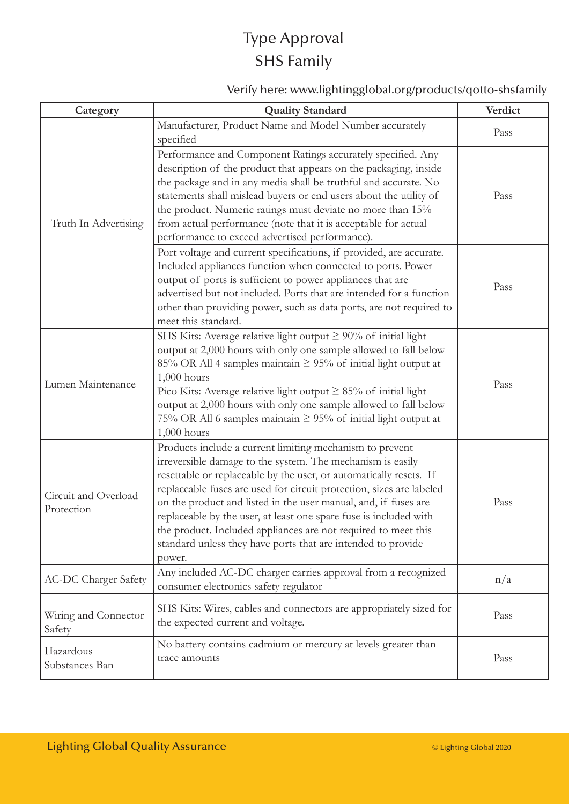# Type Approval SHS Family

### Verify here: www.lightingglobal.org/products/qotto-shsfamily

| Category                           | <b>Quality Standard</b>                                                                                                                                                                                                                                                                                                                                                                                                                                                                                                                                  | Verdict |
|------------------------------------|----------------------------------------------------------------------------------------------------------------------------------------------------------------------------------------------------------------------------------------------------------------------------------------------------------------------------------------------------------------------------------------------------------------------------------------------------------------------------------------------------------------------------------------------------------|---------|
| Truth In Advertising               | Manufacturer, Product Name and Model Number accurately<br>specified                                                                                                                                                                                                                                                                                                                                                                                                                                                                                      | Pass    |
|                                    | Performance and Component Ratings accurately specified. Any<br>description of the product that appears on the packaging, inside<br>the package and in any media shall be truthful and accurate. No<br>statements shall mislead buyers or end users about the utility of<br>the product. Numeric ratings must deviate no more than 15%<br>from actual performance (note that it is acceptable for actual<br>performance to exceed advertised performance).                                                                                                | Pass    |
|                                    | Port voltage and current specifications, if provided, are accurate.<br>Included appliances function when connected to ports. Power<br>output of ports is sufficient to power appliances that are<br>advertised but not included. Ports that are intended for a function<br>other than providing power, such as data ports, are not required to<br>meet this standard.                                                                                                                                                                                    | Pass    |
| Lumen Maintenance                  | SHS Kits: Average relative light output $\geq 90\%$ of initial light<br>output at 2,000 hours with only one sample allowed to fall below<br>85% OR All 4 samples maintain $\geq$ 95% of initial light output at<br>$1,000$ hours<br>Pico Kits: Average relative light output $\geq 85\%$ of initial light<br>output at 2,000 hours with only one sample allowed to fall below<br>75% OR All 6 samples maintain $\geq$ 95% of initial light output at<br>$1,000$ hours                                                                                    | Pass    |
| Circuit and Overload<br>Protection | Products include a current limiting mechanism to prevent<br>irreversible damage to the system. The mechanism is easily<br>resettable or replaceable by the user, or automatically resets. If<br>replaceable fuses are used for circuit protection, sizes are labeled<br>on the product and listed in the user manual, and, if fuses are<br>replaceable by the user, at least one spare fuse is included with<br>the product. Included appliances are not required to meet this<br>standard unless they have ports that are intended to provide<br>power. | Pass    |
| <b>AC-DC Charger Safety</b>        | Any included AC-DC charger carries approval from a recognized<br>consumer electronics safety regulator                                                                                                                                                                                                                                                                                                                                                                                                                                                   | n/a     |
| Wiring and Connector<br>Safety     | SHS Kits: Wires, cables and connectors are appropriately sized for<br>the expected current and voltage.                                                                                                                                                                                                                                                                                                                                                                                                                                                  | Pass    |
| Hazardous<br>Substances Ban        | No battery contains cadmium or mercury at levels greater than<br>trace amounts                                                                                                                                                                                                                                                                                                                                                                                                                                                                           | Pass    |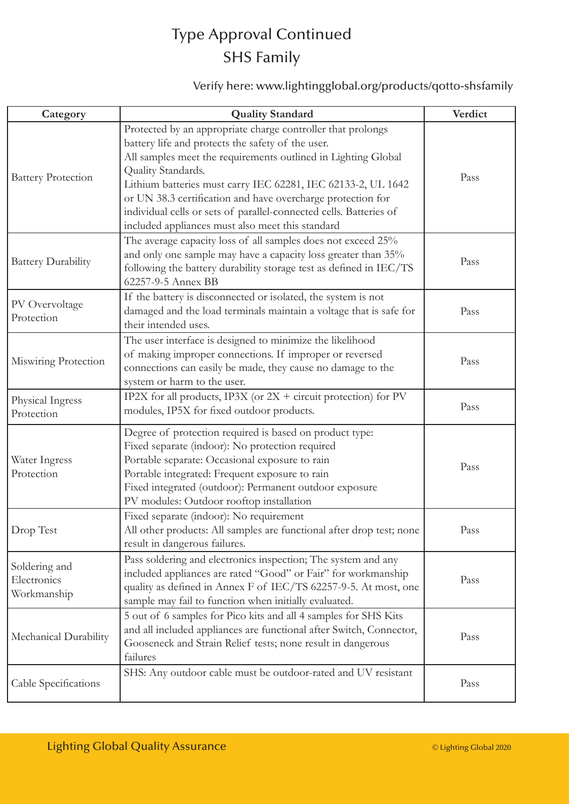## Type Approval Continued SHS Family

### Verify here: www.lightingglobal.org/products/qotto-shsfamily

| Category                                    | <b>Quality Standard</b>                                                                                                                                                                                                                                                                                                                                                                                                                                          | Verdict |
|---------------------------------------------|------------------------------------------------------------------------------------------------------------------------------------------------------------------------------------------------------------------------------------------------------------------------------------------------------------------------------------------------------------------------------------------------------------------------------------------------------------------|---------|
| <b>Battery Protection</b>                   | Protected by an appropriate charge controller that prolongs<br>battery life and protects the safety of the user.<br>All samples meet the requirements outlined in Lighting Global<br>Quality Standards.<br>Lithium batteries must carry IEC 62281, IEC 62133-2, UL 1642<br>or UN 38.3 certification and have overcharge protection for<br>individual cells or sets of parallel-connected cells. Batteries of<br>included appliances must also meet this standard | Pass    |
| <b>Battery Durability</b>                   | The average capacity loss of all samples does not exceed 25%<br>and only one sample may have a capacity loss greater than 35%<br>following the battery durability storage test as defined in IEC/TS<br>62257-9-5 Annex BB                                                                                                                                                                                                                                        | Pass    |
| PV Overvoltage<br>Protection                | If the battery is disconnected or isolated, the system is not<br>damaged and the load terminals maintain a voltage that is safe for<br>their intended uses.                                                                                                                                                                                                                                                                                                      | Pass    |
| Miswiring Protection                        | The user interface is designed to minimize the likelihood<br>of making improper connections. If improper or reversed<br>connections can easily be made, they cause no damage to the<br>system or harm to the user.                                                                                                                                                                                                                                               | Pass    |
| Physical Ingress<br>Protection              | IP2X for all products, IP3X (or $2X +$ circuit protection) for PV<br>modules, IP5X for fixed outdoor products.                                                                                                                                                                                                                                                                                                                                                   | Pass    |
| Water Ingress<br>Protection                 | Degree of protection required is based on product type:<br>Fixed separate (indoor): No protection required<br>Portable separate: Occasional exposure to rain<br>Portable integrated: Frequent exposure to rain<br>Fixed integrated (outdoor): Permanent outdoor exposure<br>PV modules: Outdoor rooftop installation                                                                                                                                             | Pass    |
| Drop Test                                   | Fixed separate (indoor): No requirement<br>All other products: All samples are functional after drop test; none<br>result in dangerous failures.                                                                                                                                                                                                                                                                                                                 | Pass    |
| Soldering and<br>Electronics<br>Workmanship | Pass soldering and electronics inspection; The system and any<br>included appliances are rated "Good" or Fair" for workmanship<br>quality as defined in Annex F of IEC/TS 62257-9-5. At most, one<br>sample may fail to function when initially evaluated.                                                                                                                                                                                                       | Pass    |
| Mechanical Durability                       | 5 out of 6 samples for Pico kits and all 4 samples for SHS Kits<br>and all included appliances are functional after Switch, Connector,<br>Gooseneck and Strain Relief tests; none result in dangerous<br>failures                                                                                                                                                                                                                                                | Pass    |
| Cable Specifications                        | SHS: Any outdoor cable must be outdoor-rated and UV resistant                                                                                                                                                                                                                                                                                                                                                                                                    | Pass    |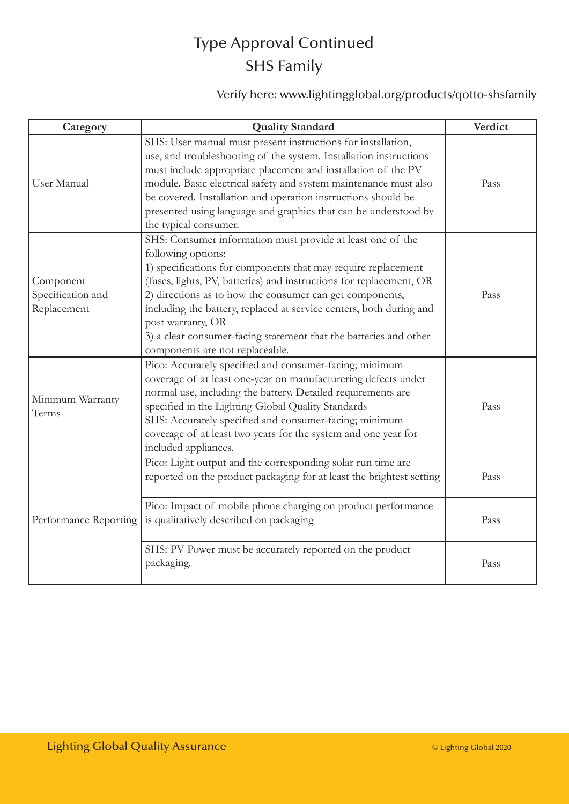# Type Approval Continued SHS Family

### Verify here: www.lightingglobal.org/products/qotto-shsfamily

| Category                                      | <b>Quality Standard</b>                                                                                                                                                                                                                                                                                                                                                                                                                                                                  | Verdict |
|-----------------------------------------------|------------------------------------------------------------------------------------------------------------------------------------------------------------------------------------------------------------------------------------------------------------------------------------------------------------------------------------------------------------------------------------------------------------------------------------------------------------------------------------------|---------|
| User Manual                                   | SHS: User manual must present instructions for installation,<br>use, and troubleshooting of the system. Installation instructions<br>must include appropriate placement and installation of the PV<br>module. Basic electrical safety and system maintenance must also<br>be covered. Installation and operation instructions should be<br>presented using language and graphics that can be understood by<br>the typical consumer.                                                      | Pass    |
| Component<br>Specification and<br>Replacement | SHS: Consumer information must provide at least one of the<br>following options:<br>1) specifications for components that may require replacement<br>(fuses, lights, PV, batteries) and instructions for replacement, OR<br>2) directions as to how the consumer can get components,<br>including the battery, replaced at service centers, both during and<br>post warranty, OR<br>3) a clear consumer-facing statement that the batteries and other<br>components are not replaceable. | Pass    |
| Minimum Warranty<br>Terms                     | Pico: Accurately specified and consumer-facing; minimum<br>coverage of at least one-year on manufacturering defects under<br>normal use, including the battery. Detailed requirements are<br>specified in the Lighting Global Quality Standards<br>SHS: Accurately specified and consumer-facing; minimum<br>coverage of at least two years for the system and one year for<br>included appliances.                                                                                      | Pass    |
| Performance Reporting                         | Pico: Light output and the corresponding solar run time are<br>reported on the product packaging for at least the brightest setting                                                                                                                                                                                                                                                                                                                                                      | Pass    |
|                                               | Pico: Impact of mobile phone charging on product performance<br>is qualitatively described on packaging                                                                                                                                                                                                                                                                                                                                                                                  | Pass    |
|                                               | SHS: PV Power must be accurately reported on the product<br>packaging.                                                                                                                                                                                                                                                                                                                                                                                                                   | Pass    |